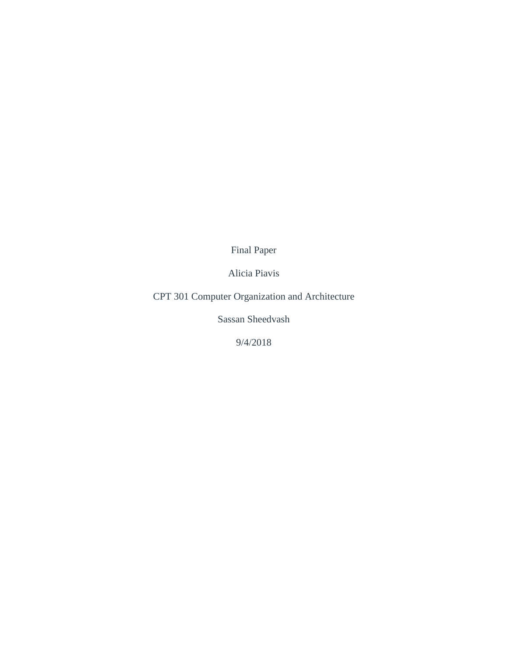Final Paper

Alicia Piavis

CPT 301 Computer Organization and Architecture

Sassan Sheedvash

9/4/2018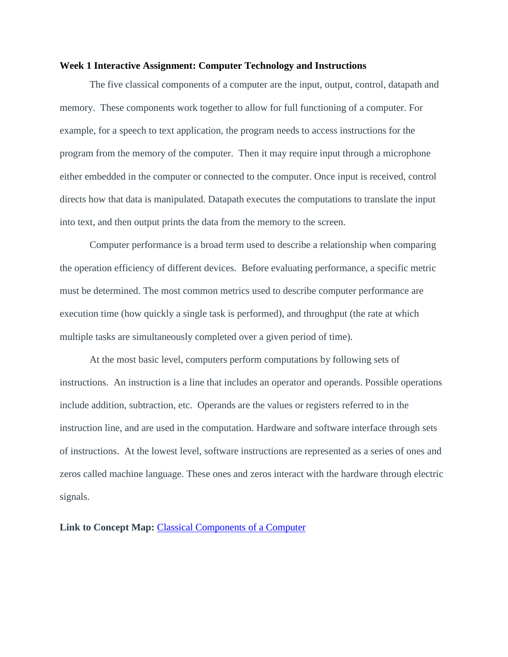#### **Week 1 Interactive Assignment: Computer Technology and Instructions**

The five classical components of a computer are the input, output, control, datapath and memory. These components work together to allow for full functioning of a computer. For example, for a speech to text application, the program needs to access instructions for the program from the memory of the computer. Then it may require input through a microphone either embedded in the computer or connected to the computer. Once input is received, control directs how that data is manipulated. Datapath executes the computations to translate the input into text, and then output prints the data from the memory to the screen.

Computer performance is a broad term used to describe a relationship when comparing the operation efficiency of different devices. Before evaluating performance, a specific metric must be determined. The most common metrics used to describe computer performance are execution time (how quickly a single task is performed), and throughput (the rate at which multiple tasks are simultaneously completed over a given period of time).

At the most basic level, computers perform computations by following sets of instructions. An instruction is a line that includes an operator and operands. Possible operations include addition, subtraction, etc. Operands are the values or registers referred to in the instruction line, and are used in the computation. Hardware and software interface through sets of instructions. At the lowest level, software instructions are represented as a series of ones and zeros called machine language. These ones and zeros interact with the hardware through electric signals.

#### **Link to Concept Map:** [Classical Components of a Computer](https://drive.google.com/file/d/1XqBX92mWO9TOmObnoTvN4MbV5KG6ngvP/view?usp=sharing)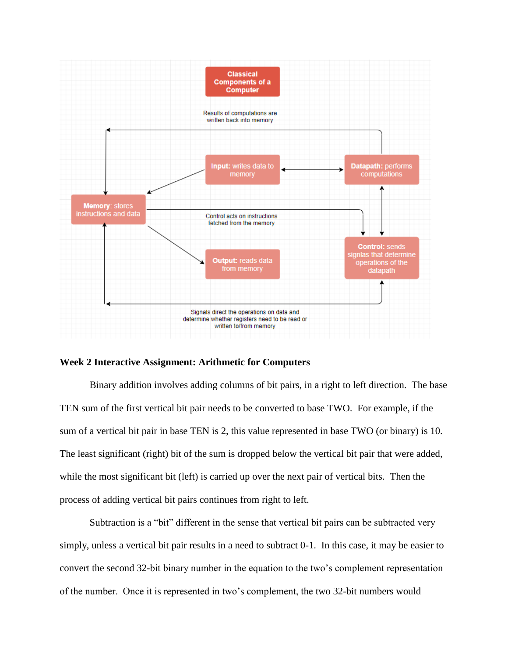

#### **Week 2 Interactive Assignment: Arithmetic for Computers**

Binary addition involves adding columns of bit pairs, in a right to left direction. The base TEN sum of the first vertical bit pair needs to be converted to base TWO. For example, if the sum of a vertical bit pair in base TEN is 2, this value represented in base TWO (or binary) is 10. The least significant (right) bit of the sum is dropped below the vertical bit pair that were added, while the most significant bit (left) is carried up over the next pair of vertical bits. Then the process of adding vertical bit pairs continues from right to left.

Subtraction is a "bit" different in the sense that vertical bit pairs can be subtracted very simply, unless a vertical bit pair results in a need to subtract 0-1. In this case, it may be easier to convert the second 32-bit binary number in the equation to the two's complement representation of the number. Once it is represented in two's complement, the two 32-bit numbers would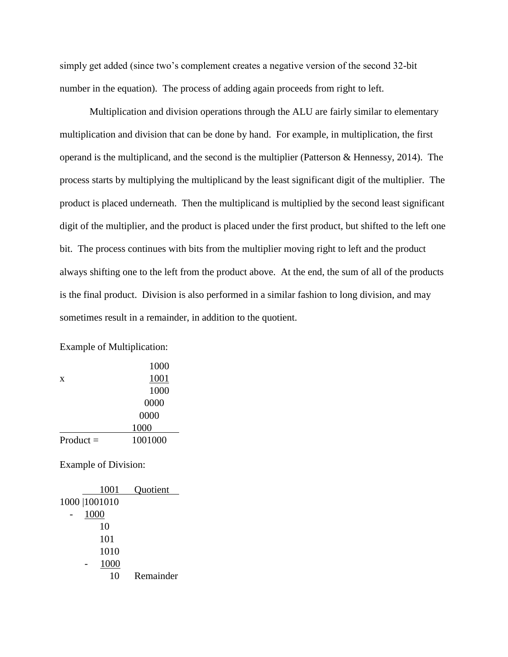simply get added (since two's complement creates a negative version of the second 32-bit number in the equation). The process of adding again proceeds from right to left.

Multiplication and division operations through the ALU are fairly similar to elementary multiplication and division that can be done by hand. For example, in multiplication, the first operand is the multiplicand, and the second is the multiplier (Patterson & Hennessy, 2014). The process starts by multiplying the multiplicand by the least significant digit of the multiplier. The product is placed underneath. Then the multiplicand is multiplied by the second least significant digit of the multiplier, and the product is placed under the first product, but shifted to the left one bit. The process continues with bits from the multiplier moving right to left and the product always shifting one to the left from the product above. At the end, the sum of all of the products is the final product. Division is also performed in a similar fashion to long division, and may sometimes result in a remainder, in addition to the quotient.

Example of Multiplication:

|             | 1000    |
|-------------|---------|
| X           | 1001    |
|             | 1000    |
|             | 0000    |
|             | 0000    |
|             | 1000    |
| Product $=$ | 1001000 |

Example of Division:

|  | 1001           | Quotient  |
|--|----------------|-----------|
|  | 1000   1001010 |           |
|  | 1000           |           |
|  | 10             |           |
|  | 101            |           |
|  | 1010           |           |
|  | 1000           |           |
|  | 10             | Remainder |
|  |                |           |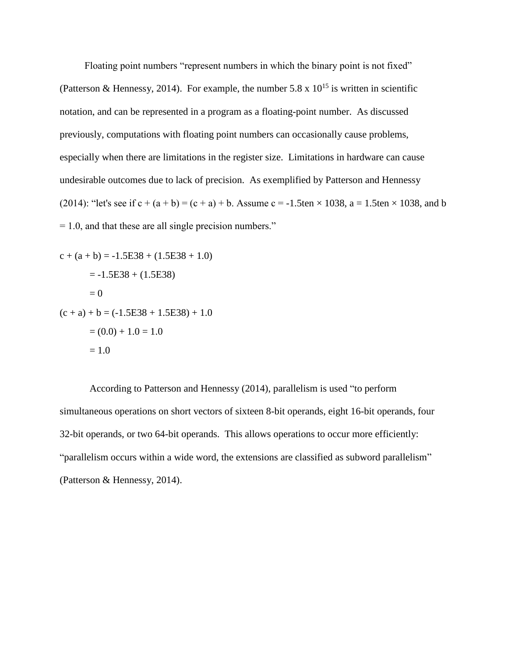Floating point numbers "represent numbers in which the binary point is not fixed" (Patterson & Hennessy, 2014). For example, the number 5.8 x  $10^{15}$  is written in scientific notation, and can be represented in a program as a floating-point number. As discussed previously, computations with floating point numbers can occasionally cause problems, especially when there are limitations in the register size. Limitations in hardware can cause undesirable outcomes due to lack of precision. As exemplified by Patterson and Hennessy (2014): "let's see if  $c + (a + b) = (c + a) + b$ . Assume  $c = -1.5 \text{ten} \times 1038$ ,  $a = 1.5 \text{ten} \times 1038$ , and b  $= 1.0$ , and that these are all single precision numbers."

$$
c + (a + b) = -1.5E38 + (1.5E38 + 1.0)
$$
  
= -1.5E38 + (1.5E38)  
= 0  
(c + a) + b = (-1.5E38 + 1.5E38) + 1.0  
= (0.0) + 1.0 = 1.0  
= 1.0

According to Patterson and Hennessy (2014), parallelism is used "to perform simultaneous operations on short vectors of sixteen 8-bit operands, eight 16-bit operands, four 32-bit operands, or two 64-bit operands. This allows operations to occur more efficiently: "parallelism occurs within a wide word, the extensions are classified as subword parallelism" (Patterson & Hennessy, 2014).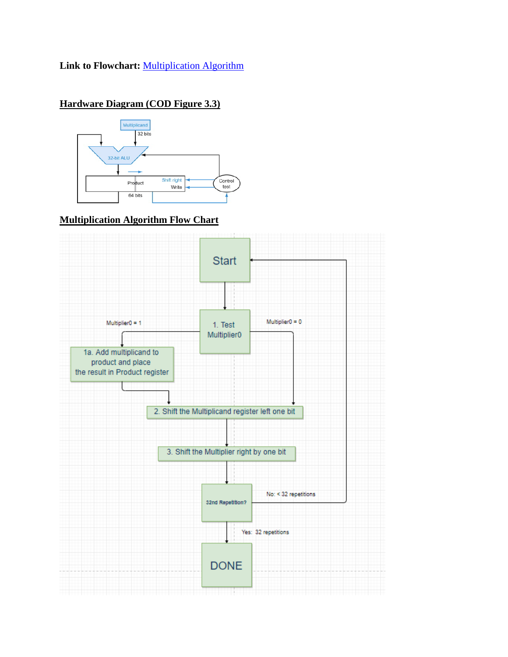## **Link to Flowchart:** [Multiplication Algorithm](https://www.draw.io/#G15vFYV-qGuoxszF-Sj9do-jNhOtkUbVHg)

# **Hardware Diagram (COD Figure 3.3)**



### **Multiplication Algorithm Flow Chart**

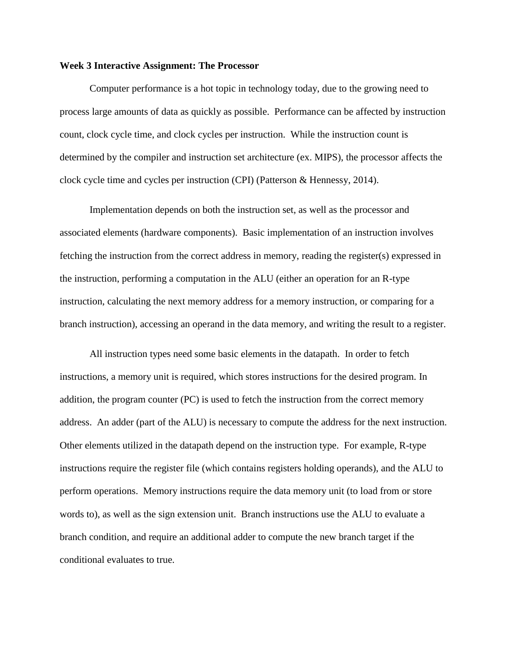#### **Week 3 Interactive Assignment: The Processor**

Computer performance is a hot topic in technology today, due to the growing need to process large amounts of data as quickly as possible. Performance can be affected by instruction count, clock cycle time, and clock cycles per instruction. While the instruction count is determined by the compiler and instruction set architecture (ex. MIPS), the processor affects the clock cycle time and cycles per instruction (CPI) (Patterson & Hennessy, 2014).

Implementation depends on both the instruction set, as well as the processor and associated elements (hardware components). Basic implementation of an instruction involves fetching the instruction from the correct address in memory, reading the register(s) expressed in the instruction, performing a computation in the ALU (either an operation for an R-type instruction, calculating the next memory address for a memory instruction, or comparing for a branch instruction), accessing an operand in the data memory, and writing the result to a register.

All instruction types need some basic elements in the datapath. In order to fetch instructions, a memory unit is required, which stores instructions for the desired program. In addition, the program counter (PC) is used to fetch the instruction from the correct memory address. An adder (part of the ALU) is necessary to compute the address for the next instruction. Other elements utilized in the datapath depend on the instruction type. For example, R-type instructions require the register file (which contains registers holding operands), and the ALU to perform operations. Memory instructions require the data memory unit (to load from or store words to), as well as the sign extension unit. Branch instructions use the ALU to evaluate a branch condition, and require an additional adder to compute the new branch target if the conditional evaluates to true.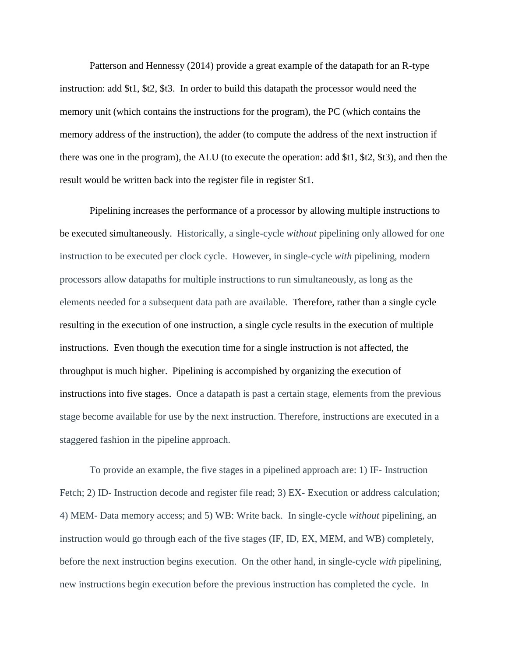Patterson and Hennessy (2014) provide a great example of the datapath for an R-type instruction: add \$t1, \$t2, \$t3. In order to build this datapath the processor would need the memory unit (which contains the instructions for the program), the PC (which contains the memory address of the instruction), the adder (to compute the address of the next instruction if there was one in the program), the ALU (to execute the operation: add \$t1, \$t2, \$t3), and then the result would be written back into the register file in register \$t1.

Pipelining increases the performance of a processor by allowing multiple instructions to be executed simultaneously. Historically, a single-cycle *without* pipelining only allowed for one instruction to be executed per clock cycle. However, in single-cycle *with* pipelining, modern processors allow datapaths for multiple instructions to run simultaneously, as long as the elements needed for a subsequent data path are available. Therefore, rather than a single cycle resulting in the execution of one instruction, a single cycle results in the execution of multiple instructions. Even though the execution time for a single instruction is not affected, the throughput is much higher. Pipelining is accompished by organizing the execution of instructions into five stages. Once a datapath is past a certain stage, elements from the previous stage become available for use by the next instruction. Therefore, instructions are executed in a staggered fashion in the pipeline approach.

To provide an example, the five stages in a pipelined approach are: 1) IF- Instruction Fetch; 2) ID- Instruction decode and register file read; 3) EX- Execution or address calculation; 4) MEM- Data memory access; and 5) WB: Write back. In single-cycle *without* pipelining, an instruction would go through each of the five stages (IF, ID, EX, MEM, and WB) completely, before the next instruction begins execution. On the other hand, in single-cycle *with* pipelining, new instructions begin execution before the previous instruction has completed the cycle. In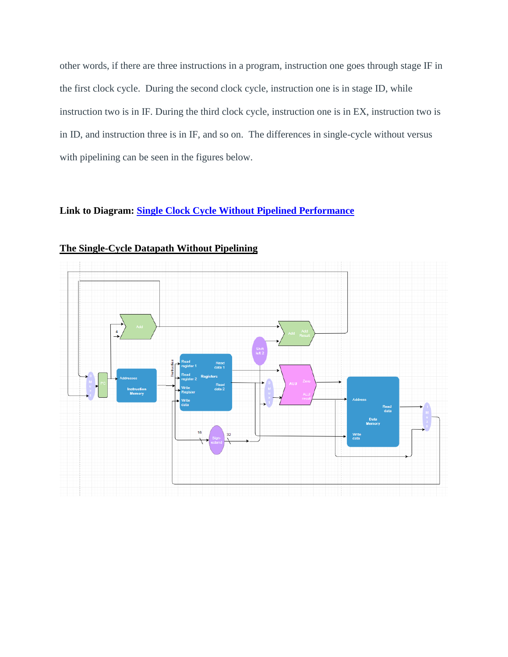other words, if there are three instructions in a program, instruction one goes through stage IF in the first clock cycle. During the second clock cycle, instruction one is in stage ID, while instruction two is in IF. During the third clock cycle, instruction one is in EX, instruction two is in ID, and instruction three is in IF, and so on. The differences in single-cycle without versus with pipelining can be seen in the figures below.

## **Link to Diagram: [Single Clock Cycle Without Pipelined Performance](https://drive.google.com/file/d/1rU6NZCNh4LUHKJroPWoPmT2YUUGKHuKo/view?usp=sharing)**



**The Single-Cycle Datapath Without Pipelining**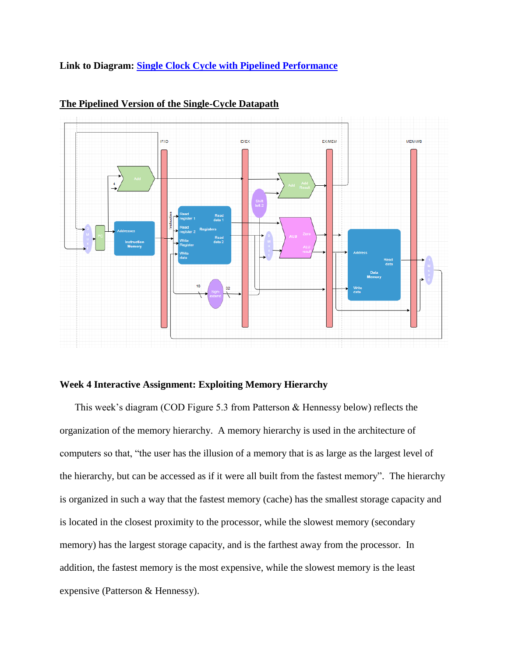#### **Link to Diagram: [Single Clock Cycle with](https://drive.google.com/file/d/1gFjJsfPlrroz8JPabdcZYfe_92SQxXjy/view?usp=sharing) Pipelined Performance**



#### **The Pipelined Version of the Single-Cycle Datapath**

#### **Week 4 Interactive Assignment: Exploiting Memory Hierarchy**

This week's diagram (COD Figure 5.3 from Patterson & Hennessy below) reflects the organization of the memory hierarchy. A memory hierarchy is used in the architecture of computers so that, "the user has the illusion of a memory that is as large as the largest level of the hierarchy, but can be accessed as if it were all built from the fastest memory". The hierarchy is organized in such a way that the fastest memory (cache) has the smallest storage capacity and is located in the closest proximity to the processor, while the slowest memory (secondary memory) has the largest storage capacity, and is the farthest away from the processor. In addition, the fastest memory is the most expensive, while the slowest memory is the least expensive (Patterson & Hennessy).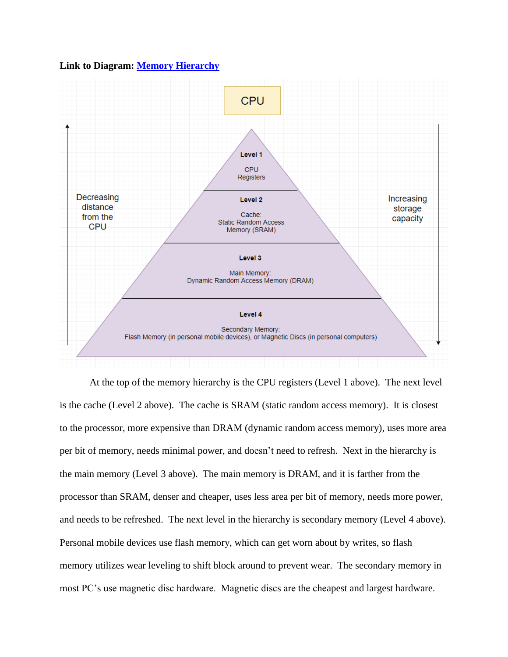#### **Link to Diagram: [Memory Hierarchy](https://drive.google.com/file/d/1BH8UILPawPI-CTsAe5CWApX4-1MZ_Tsl/view?usp=sharing)**



At the top of the memory hierarchy is the CPU registers (Level 1 above). The next level is the cache (Level 2 above). The cache is SRAM (static random access memory). It is closest to the processor, more expensive than DRAM (dynamic random access memory), uses more area per bit of memory, needs minimal power, and doesn't need to refresh. Next in the hierarchy is the main memory (Level 3 above). The main memory is DRAM, and it is farther from the processor than SRAM, denser and cheaper, uses less area per bit of memory, needs more power, and needs to be refreshed. The next level in the hierarchy is secondary memory (Level 4 above). Personal mobile devices use flash memory, which can get worn about by writes, so flash memory utilizes wear leveling to shift block around to prevent wear. The secondary memory in most PC's use magnetic disc hardware. Magnetic discs are the cheapest and largest hardware.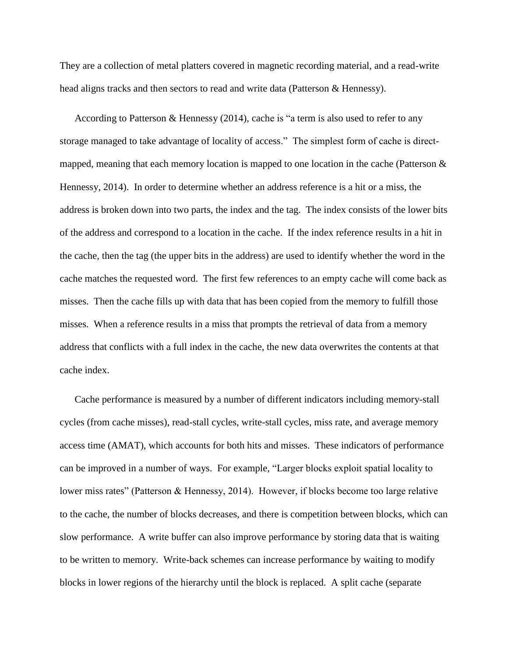They are a collection of metal platters covered in magnetic recording material, and a read-write head aligns tracks and then sectors to read and write data (Patterson & Hennessy).

According to Patterson & Hennessy (2014), cache is "a term is also used to refer to any storage managed to take advantage of locality of access." The simplest form of cache is directmapped, meaning that each memory location is mapped to one location in the cache (Patterson & Hennessy, 2014). In order to determine whether an address reference is a hit or a miss, the address is broken down into two parts, the index and the tag. The index consists of the lower bits of the address and correspond to a location in the cache. If the index reference results in a hit in the cache, then the tag (the upper bits in the address) are used to identify whether the word in the cache matches the requested word. The first few references to an empty cache will come back as misses. Then the cache fills up with data that has been copied from the memory to fulfill those misses. When a reference results in a miss that prompts the retrieval of data from a memory address that conflicts with a full index in the cache, the new data overwrites the contents at that cache index.

Cache performance is measured by a number of different indicators including memory-stall cycles (from cache misses), read-stall cycles, write-stall cycles, miss rate, and average memory access time (AMAT), which accounts for both hits and misses. These indicators of performance can be improved in a number of ways. For example, "Larger blocks exploit spatial locality to lower miss rates" (Patterson & Hennessy, 2014). However, if blocks become too large relative to the cache, the number of blocks decreases, and there is competition between blocks, which can slow performance. A write buffer can also improve performance by storing data that is waiting to be written to memory. Write-back schemes can increase performance by waiting to modify blocks in lower regions of the hierarchy until the block is replaced. A split cache (separate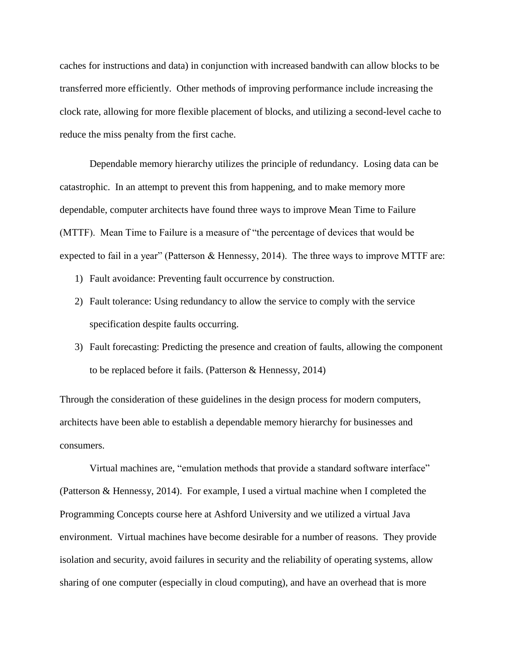caches for instructions and data) in conjunction with increased bandwith can allow blocks to be transferred more efficiently. Other methods of improving performance include increasing the clock rate, allowing for more flexible placement of blocks, and utilizing a second-level cache to reduce the miss penalty from the first cache.

Dependable memory hierarchy utilizes the principle of redundancy. Losing data can be catastrophic. In an attempt to prevent this from happening, and to make memory more dependable, computer architects have found three ways to improve Mean Time to Failure (MTTF). Mean Time to Failure is a measure of "the percentage of devices that would be expected to fail in a year" (Patterson & Hennessy, 2014). The three ways to improve MTTF are:

- 1) Fault avoidance: Preventing fault occurrence by construction.
- 2) Fault tolerance: Using redundancy to allow the service to comply with the service specification despite faults occurring.
- 3) Fault forecasting: Predicting the presence and creation of faults, allowing the component to be replaced before it fails. (Patterson & Hennessy, 2014)

Through the consideration of these guidelines in the design process for modern computers, architects have been able to establish a dependable memory hierarchy for businesses and consumers.

Virtual machines are, "emulation methods that provide a standard software interface" (Patterson & Hennessy, 2014). For example, I used a virtual machine when I completed the Programming Concepts course here at Ashford University and we utilized a virtual Java environment. Virtual machines have become desirable for a number of reasons. They provide isolation and security, avoid failures in security and the reliability of operating systems, allow sharing of one computer (especially in cloud computing), and have an overhead that is more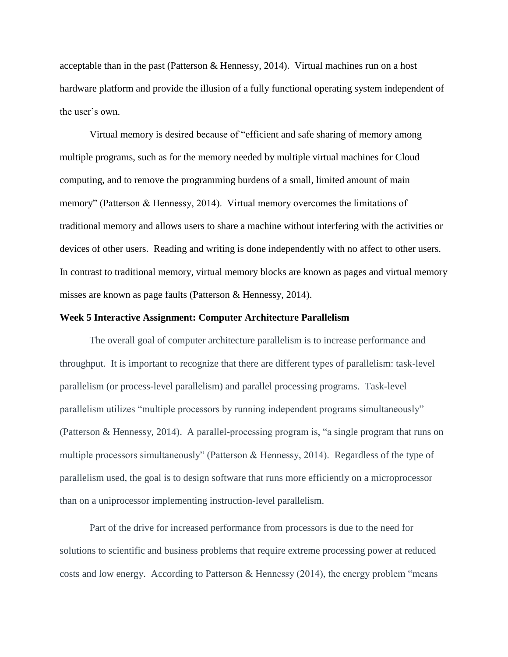acceptable than in the past (Patterson & Hennessy, 2014). Virtual machines run on a host hardware platform and provide the illusion of a fully functional operating system independent of the user's own.

Virtual memory is desired because of "efficient and safe sharing of memory among multiple programs, such as for the memory needed by multiple virtual machines for Cloud computing, and to remove the programming burdens of a small, limited amount of main memory" (Patterson & Hennessy, 2014). Virtual memory overcomes the limitations of traditional memory and allows users to share a machine without interfering with the activities or devices of other users. Reading and writing is done independently with no affect to other users. In contrast to traditional memory, virtual memory blocks are known as pages and virtual memory misses are known as page faults (Patterson & Hennessy, 2014).

#### **Week 5 Interactive Assignment: Computer Architecture Parallelism**

The overall goal of computer architecture parallelism is to increase performance and throughput. It is important to recognize that there are different types of parallelism: task-level parallelism (or process-level parallelism) and parallel processing programs. Task-level parallelism utilizes "multiple processors by running independent programs simultaneously" (Patterson & Hennessy, 2014). A parallel-processing program is, "a single program that runs on multiple processors simultaneously" (Patterson & Hennessy, 2014). Regardless of the type of parallelism used, the goal is to design software that runs more efficiently on a microprocessor than on a uniprocessor implementing instruction-level parallelism.

Part of the drive for increased performance from processors is due to the need for solutions to scientific and business problems that require extreme processing power at reduced costs and low energy. According to Patterson & Hennessy (2014), the energy problem "means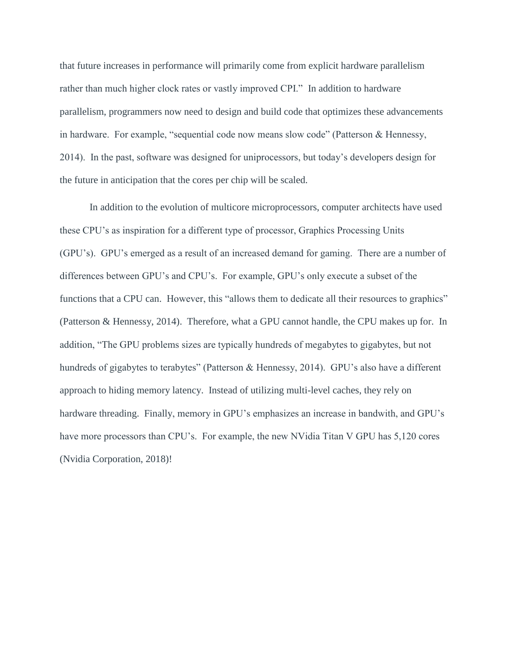that future increases in performance will primarily come from explicit hardware parallelism rather than much higher clock rates or vastly improved CPI." In addition to hardware parallelism, programmers now need to design and build code that optimizes these advancements in hardware. For example, "sequential code now means slow code" (Patterson & Hennessy, 2014). In the past, software was designed for uniprocessors, but today's developers design for the future in anticipation that the cores per chip will be scaled.

In addition to the evolution of multicore microprocessors, computer architects have used these CPU's as inspiration for a different type of processor, Graphics Processing Units (GPU's). GPU's emerged as a result of an increased demand for gaming. There are a number of differences between GPU's and CPU's. For example, GPU's only execute a subset of the functions that a CPU can. However, this "allows them to dedicate all their resources to graphics" (Patterson & Hennessy, 2014). Therefore, what a GPU cannot handle, the CPU makes up for. In addition, "The GPU problems sizes are typically hundreds of megabytes to gigabytes, but not hundreds of gigabytes to terabytes" (Patterson & Hennessy, 2014). GPU's also have a different approach to hiding memory latency. Instead of utilizing multi-level caches, they rely on hardware threading. Finally, memory in GPU's emphasizes an increase in bandwith, and GPU's have more processors than CPU's. For example, the new NVidia Titan V GPU has 5,120 cores (Nvidia Corporation, 2018)!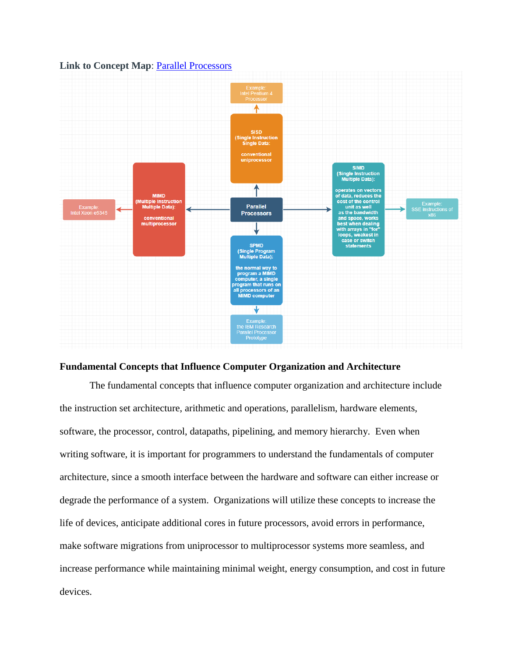

#### **Link to Concept Map: [Parallel Processors](https://drive.google.com/file/d/17JPr-doGPCJUkHaLWsBKbQ74k4xPZk0o/view?usp=sharing)**

#### **Fundamental Concepts that Influence Computer Organization and Architecture**

The fundamental concepts that influence computer organization and architecture include the instruction set architecture, arithmetic and operations, parallelism, hardware elements, software, the processor, control, datapaths, pipelining, and memory hierarchy. Even when writing software, it is important for programmers to understand the fundamentals of computer architecture, since a smooth interface between the hardware and software can either increase or degrade the performance of a system. Organizations will utilize these concepts to increase the life of devices, anticipate additional cores in future processors, avoid errors in performance, make software migrations from uniprocessor to multiprocessor systems more seamless, and increase performance while maintaining minimal weight, energy consumption, and cost in future devices.